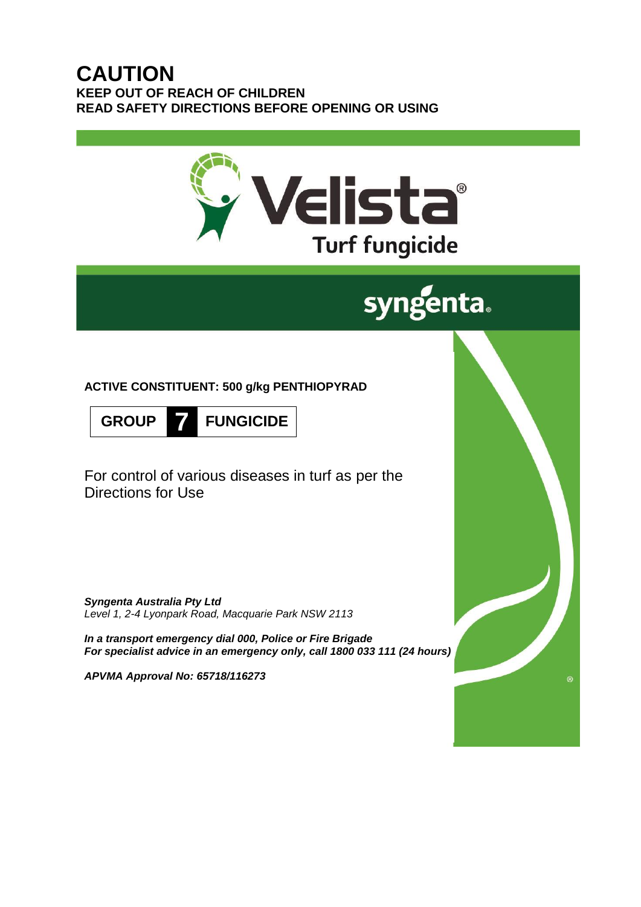## **CAUTION KEEP OUT OF REACH OF CHILDREN READ SAFETY DIRECTIONS BEFORE OPENING OR USING**



# syngenta.

**ACTIVE CONSTITUENT: 500 g/kg PENTHIOPYRAD**



For control of various diseases in turf as per the Directions for Use

*Syngenta Australia Pty Ltd Level 1, 2-4 Lyonpark Road, Macquarie Park NSW 2113*

*In a transport emergency dial 000, Police or Fire Brigade For specialist advice in an emergency only, call 1800 033 111 (24 hours)*

*APVMA Approval No: 65718/116273*

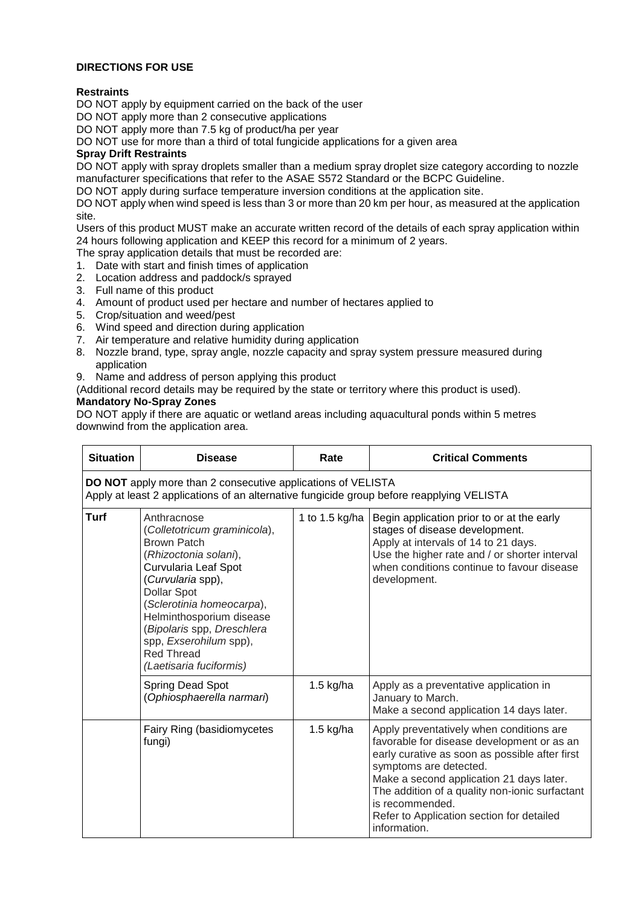#### **DIRECTIONS FOR USE**

#### **Restraints**

DO NOT apply by equipment carried on the back of the user

DO NOT apply more than 2 consecutive applications

DO NOT apply more than 7.5 kg of product/ha per year

DO NOT use for more than a third of total fungicide applications for a given area

#### **Spray Drift Restraints**

DO NOT apply with spray droplets smaller than a medium spray droplet size category according to nozzle manufacturer specifications that refer to the ASAE S572 Standard or the BCPC Guideline.

DO NOT apply during surface temperature inversion conditions at the application site.

DO NOT apply when wind speed is less than 3 or more than 20 km per hour, as measured at the application site.

Users of this product MUST make an accurate written record of the details of each spray application within 24 hours following application and KEEP this record for a minimum of 2 years.

The spray application details that must be recorded are:

- 1. Date with start and finish times of application
- 2. Location address and paddock/s sprayed
- 3. Full name of this product
- 4. Amount of product used per hectare and number of hectares applied to
- 5. Crop/situation and weed/pest
- 6. Wind speed and direction during application
- 7. Air temperature and relative humidity during application
- 8. Nozzle brand, type, spray angle, nozzle capacity and spray system pressure measured during application
- 9. Name and address of person applying this product
- (Additional record details may be required by the state or territory where this product is used).

#### **Mandatory No-Spray Zones**

DO NOT apply if there are aquatic or wetland areas including aquacultural ponds within 5 metres downwind from the application area.

| <b>Situation</b>                                                                                                                                                 | <b>Disease</b>                                                                                                                                                                                                                                                                                                                 | Rate           | <b>Critical Comments</b>                                                                                                                                                                                                                                                                                                                         |  |
|------------------------------------------------------------------------------------------------------------------------------------------------------------------|--------------------------------------------------------------------------------------------------------------------------------------------------------------------------------------------------------------------------------------------------------------------------------------------------------------------------------|----------------|--------------------------------------------------------------------------------------------------------------------------------------------------------------------------------------------------------------------------------------------------------------------------------------------------------------------------------------------------|--|
| <b>DO NOT</b> apply more than 2 consecutive applications of VELISTA<br>Apply at least 2 applications of an alternative fungicide group before reapplying VELISTA |                                                                                                                                                                                                                                                                                                                                |                |                                                                                                                                                                                                                                                                                                                                                  |  |
| <b>Turf</b>                                                                                                                                                      | Anthracnose<br>(Colletotricum graminicola),<br><b>Brown Patch</b><br>(Rhizoctonia solani),<br>Curvularia Leaf Spot<br>(Curvularia spp),<br><b>Dollar Spot</b><br>(Sclerotinia homeocarpa),<br>Helminthosporium disease<br>(Bipolaris spp, Dreschlera<br>spp, Exserohilum spp),<br><b>Red Thread</b><br>(Laetisaria fuciformis) | 1 to 1.5 kg/ha | Begin application prior to or at the early<br>stages of disease development.<br>Apply at intervals of 14 to 21 days.<br>Use the higher rate and / or shorter interval<br>when conditions continue to favour disease<br>development.                                                                                                              |  |
|                                                                                                                                                                  | Spring Dead Spot<br>(Ophiosphaerella narmari)                                                                                                                                                                                                                                                                                  | $1.5$ kg/ha    | Apply as a preventative application in<br>January to March.<br>Make a second application 14 days later.                                                                                                                                                                                                                                          |  |
|                                                                                                                                                                  | Fairy Ring (basidiomycetes<br>fungi)                                                                                                                                                                                                                                                                                           | $1.5$ kg/ha    | Apply preventatively when conditions are<br>favorable for disease development or as an<br>early curative as soon as possible after first<br>symptoms are detected.<br>Make a second application 21 days later.<br>The addition of a quality non-ionic surfactant<br>is recommended.<br>Refer to Application section for detailed<br>information. |  |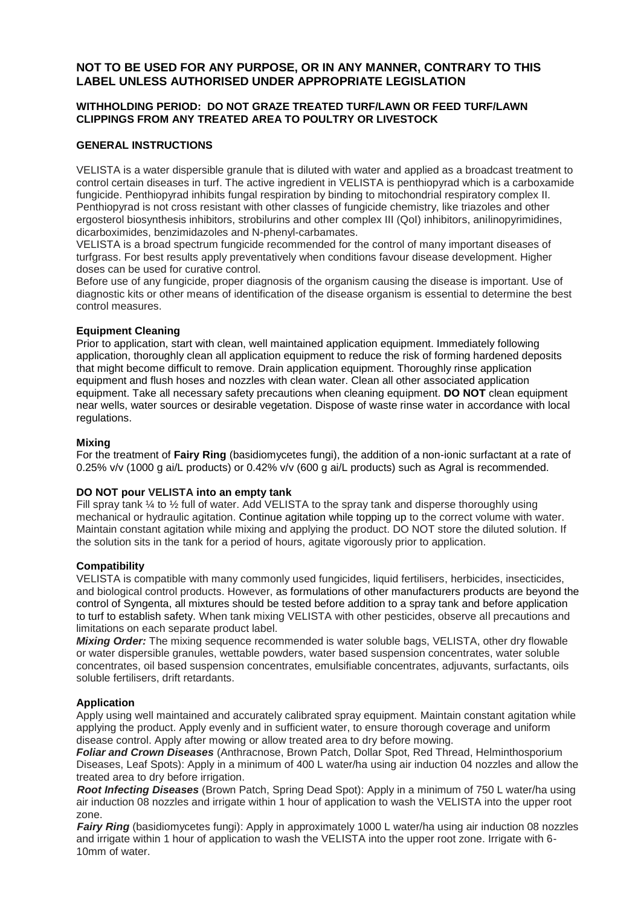### **NOT TO BE USED FOR ANY PURPOSE, OR IN ANY MANNER, CONTRARY TO THIS LABEL UNLESS AUTHORISED UNDER APPROPRIATE LEGISLATION**

#### **WITHHOLDING PERIOD: DO NOT GRAZE TREATED TURF/LAWN OR FEED TURF/LAWN CLIPPINGS FROM ANY TREATED AREA TO POULTRY OR LIVESTOCK**

#### **GENERAL INSTRUCTIONS**

VELISTA is a water dispersible granule that is diluted with water and applied as a broadcast treatment to control certain diseases in turf. The active ingredient in VELISTA is penthiopyrad which is a carboxamide fungicide. Penthiopyrad inhibits fungal respiration by binding to mitochondrial respiratory complex II. Penthiopyrad is not cross resistant with other classes of fungicide chemistry, like triazoles and other ergosterol biosynthesis inhibitors, strobilurins and other complex III (QoI) inhibitors, anilinopyrimidines, dicarboximides, benzimidazoles and N-phenyl-carbamates.

VELISTA is a broad spectrum fungicide recommended for the control of many important diseases of turfgrass. For best results apply preventatively when conditions favour disease development. Higher doses can be used for curative control.

Before use of any fungicide, proper diagnosis of the organism causing the disease is important. Use of diagnostic kits or other means of identification of the disease organism is essential to determine the best control measures.

#### **Equipment Cleaning**

Prior to application, start with clean, well maintained application equipment. Immediately following application, thoroughly clean all application equipment to reduce the risk of forming hardened deposits that might become difficult to remove. Drain application equipment. Thoroughly rinse application equipment and flush hoses and nozzles with clean water. Clean all other associated application equipment. Take all necessary safety precautions when cleaning equipment. **DO NOT** clean equipment near wells, water sources or desirable vegetation. Dispose of waste rinse water in accordance with local regulations.

#### **Mixing**

For the treatment of **Fairy Ring** (basidiomycetes fungi), the addition of a non-ionic surfactant at a rate of 0.25% v/v (1000 g ai/L products) or 0.42% v/v (600 g ai/L products) such as Agral is recommended.

#### **DO NOT pour VELISTA into an empty tank**

Fill spray tank  $\frac{1}{4}$  to  $\frac{1}{2}$  full of water. Add VELISTA to the spray tank and disperse thoroughly using mechanical or hydraulic agitation. Continue agitation while topping up to the correct volume with water. Maintain constant agitation while mixing and applying the product. DO NOT store the diluted solution. If the solution sits in the tank for a period of hours, agitate vigorously prior to application.

#### **Compatibility**

VELISTA is compatible with many commonly used fungicides, liquid fertilisers, herbicides, insecticides, and biological control products. However, as formulations of other manufacturers products are beyond the control of Syngenta, all mixtures should be tested before addition to a spray tank and before application to turf to establish safety. When tank mixing VELISTA with other pesticides, observe all precautions and limitations on each separate product label.

*Mixing Order:* The mixing sequence recommended is water soluble bags, VELISTA, other dry flowable or water dispersible granules, wettable powders, water based suspension concentrates, water soluble concentrates, oil based suspension concentrates, emulsifiable concentrates, adjuvants, surfactants, oils soluble fertilisers, drift retardants.

#### **Application**

Apply using well maintained and accurately calibrated spray equipment. Maintain constant agitation while applying the product. Apply evenly and in sufficient water, to ensure thorough coverage and uniform disease control. Apply after mowing or allow treated area to dry before mowing.

*Foliar and Crown Diseases* (Anthracnose, Brown Patch, Dollar Spot, Red Thread, Helminthosporium Diseases, Leaf Spots): Apply in a minimum of 400 L water/ha using air induction 04 nozzles and allow the treated area to dry before irrigation.

*Root Infecting Diseases* (Brown Patch, Spring Dead Spot): Apply in a minimum of 750 L water/ha using air induction 08 nozzles and irrigate within 1 hour of application to wash the VELISTA into the upper root zone.

*Fairy Ring* (basidiomycetes fungi): Apply in approximately 1000 L water/ha using air induction 08 nozzles and irrigate within 1 hour of application to wash the VELISTA into the upper root zone. Irrigate with 6- 10mm of water.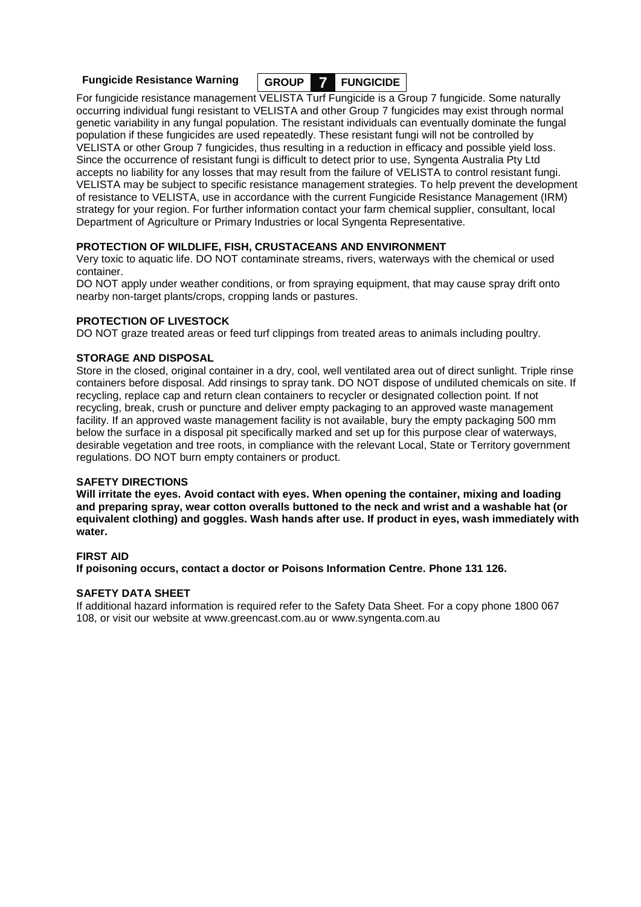**Fungicide Resistance Warning GROUP 7 FUNGICIDE**

For fungicide resistance management VELISTA Turf Fungicide is a Group 7 fungicide. Some naturally occurring individual fungi resistant to VELISTA and other Group 7 fungicides may exist through normal genetic variability in any fungal population. The resistant individuals can eventually dominate the fungal population if these fungicides are used repeatedly. These resistant fungi will not be controlled by VELISTA or other Group 7 fungicides, thus resulting in a reduction in efficacy and possible yield loss. Since the occurrence of resistant fungi is difficult to detect prior to use, Syngenta Australia Pty Ltd accepts no liability for any losses that may result from the failure of VELISTA to control resistant fungi. VELISTA may be subject to specific resistance management strategies. To help prevent the development of resistance to VELISTA, use in accordance with the current Fungicide Resistance Management (IRM) strategy for your region. For further information contact your farm chemical supplier, consultant, local Department of Agriculture or Primary Industries or local Syngenta Representative.

#### **PROTECTION OF WILDLIFE, FISH, CRUSTACEANS AND ENVIRONMENT**

Very toxic to aquatic life. DO NOT contaminate streams, rivers, waterways with the chemical or used container.

DO NOT apply under weather conditions, or from spraying equipment, that may cause spray drift onto nearby non-target plants/crops, cropping lands or pastures.

#### **PROTECTION OF LIVESTOCK**

DO NOT graze treated areas or feed turf clippings from treated areas to animals including poultry.

#### **STORAGE AND DISPOSAL**

Store in the closed, original container in a dry, cool, well ventilated area out of direct sunlight. Triple rinse containers before disposal. Add rinsings to spray tank. DO NOT dispose of undiluted chemicals on site. If recycling, replace cap and return clean containers to recycler or designated collection point. If not recycling, break, crush or puncture and deliver empty packaging to an approved waste management facility. If an approved waste management facility is not available, bury the empty packaging 500 mm below the surface in a disposal pit specifically marked and set up for this purpose clear of waterways, desirable vegetation and tree roots, in compliance with the relevant Local, State or Territory government regulations. DO NOT burn empty containers or product.

#### **SAFETY DIRECTIONS**

**Will irritate the eyes. Avoid contact with eyes. When opening the container, mixing and loading and preparing spray, wear cotton overalls buttoned to the neck and wrist and a washable hat (or equivalent clothing) and goggles. Wash hands after use. If product in eyes, wash immediately with water.**

#### **FIRST AID**

**If poisoning occurs, contact a doctor or Poisons Information Centre. Phone 131 126.**

#### **SAFETY DATA SHEET**

If additional hazard information is required refer to the Safety Data Sheet. For a copy phone 1800 067 108, or visit our website at [www.greencast.com.au](http://www.greencast.com.au/) or [www.syngenta.com.au](http://www.syngenta.com.au/)